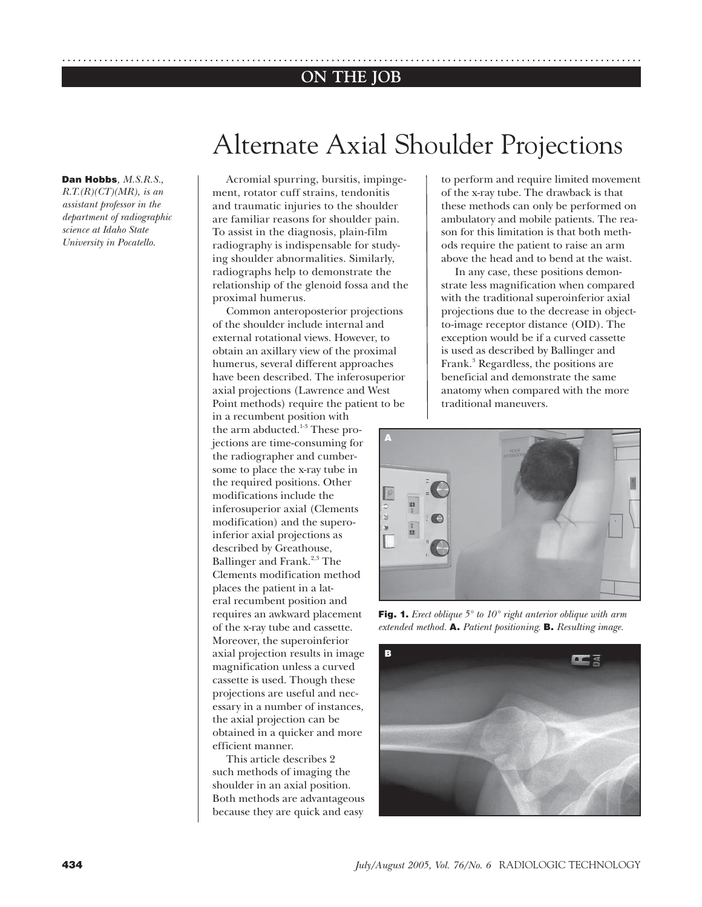## **ON THE JOB** ..............................................................................................................

**Dan Hobbs***, M.S.R.S.,* 

*R.T.(R)(CT)(MR), is an assistant professor in the department of radiographic science at Idaho State University in Pocatello.*

# Alternate Axial Shoulder Projections

Acromial spurring, bursitis, impingement, rotator cuff strains, tendonitis and traumatic injuries to the shoulder are familiar reasons for shoulder pain. To assist in the diagnosis, plain-film radiography is indispensable for studying shoulder abnormalities. Similarly, radiographs help to demonstrate the relationship of the glenoid fossa and the proximal humerus.

Common anteroposterior projections of the shoulder include internal and external rotational views. However, to obtain an axillary view of the proximal humerus, several different approaches have been described. The inferosuperior axial projections (Lawrence and West Point methods) require the patient to be in a recumbent position with the arm abducted.<sup>1-3</sup> These projections are time-consuming for the radiographer and cumbersome to place the x-ray tube in the required positions. Other modifications include the **A**

inferosuperior axial (Clements modification) and the superoinferior axial projections as described by Greathouse, Ballinger and Frank.<sup>2,3</sup> The Clements modification method places the patient in a lateral recumbent position and requires an awkward placement of the x-ray tube and cassette. Moreover, the superoinferior axial projection results in image magnification unless a curved cassette is used. Though these projections are useful and necessary in a number of instances, the axial projection can be obtained in a quicker and more efficient manner.

This article describes 2 such methods of imaging the shoulder in an axial position. Both methods are advantageous because they are quick and easy

to perform and require limited movement of the x-ray tube. The drawback is that these methods can only be performed on ambulatory and mobile patients. The reason for this limitation is that both methods require the patient to raise an arm above the head and to bend at the waist.

In any case, these positions demonstrate less magnification when compared with the traditional superoinferior axial projections due to the decrease in objectto-image receptor distance (OID). The exception would be if a curved cassette is used as described by Ballinger and Frank.<sup>3</sup> Regardless, the positions are beneficial and demonstrate the same anatomy when compared with the more traditional maneuvers.



**Fig. 1.** *Erect oblique 5° to 10° right anterior oblique with arm extended method.* **A.** *Patient positioning.* **B.** *Resulting image.*